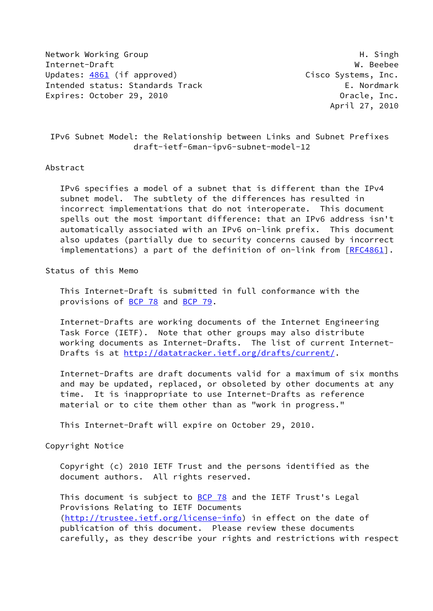Network Working Group **H. Singh** H. Singh Internet-Draft W. Beebee Updates: [4861](https://datatracker.ietf.org/doc/pdf/rfc4861) (if approved) Cisco Systems, Inc. Intended status: Standards Track E. Nordmark Expires: October 29, 2010 **Canadian Constructs** Cracle, Inc.

April 27, 2010

 IPv6 Subnet Model: the Relationship between Links and Subnet Prefixes draft-ietf-6man-ipv6-subnet-model-12

#### Abstract

 IPv6 specifies a model of a subnet that is different than the IPv4 subnet model. The subtlety of the differences has resulted in incorrect implementations that do not interoperate. This document spells out the most important difference: that an IPv6 address isn't automatically associated with an IPv6 on-link prefix. This document also updates (partially due to security concerns caused by incorrect implementations) a part of the definition of on-link from [[RFC4861](https://datatracker.ietf.org/doc/pdf/rfc4861)].

Status of this Memo

 This Internet-Draft is submitted in full conformance with the provisions of [BCP 78](https://datatracker.ietf.org/doc/pdf/bcp78) and [BCP 79](https://datatracker.ietf.org/doc/pdf/bcp79).

 Internet-Drafts are working documents of the Internet Engineering Task Force (IETF). Note that other groups may also distribute working documents as Internet-Drafts. The list of current Internet- Drafts is at<http://datatracker.ietf.org/drafts/current/>.

 Internet-Drafts are draft documents valid for a maximum of six months and may be updated, replaced, or obsoleted by other documents at any time. It is inappropriate to use Internet-Drafts as reference material or to cite them other than as "work in progress."

This Internet-Draft will expire on October 29, 2010.

Copyright Notice

 Copyright (c) 2010 IETF Trust and the persons identified as the document authors. All rights reserved.

This document is subject to **[BCP 78](https://datatracker.ietf.org/doc/pdf/bcp78)** and the IETF Trust's Legal Provisions Relating to IETF Documents [\(http://trustee.ietf.org/license-info](http://trustee.ietf.org/license-info)) in effect on the date of publication of this document. Please review these documents carefully, as they describe your rights and restrictions with respect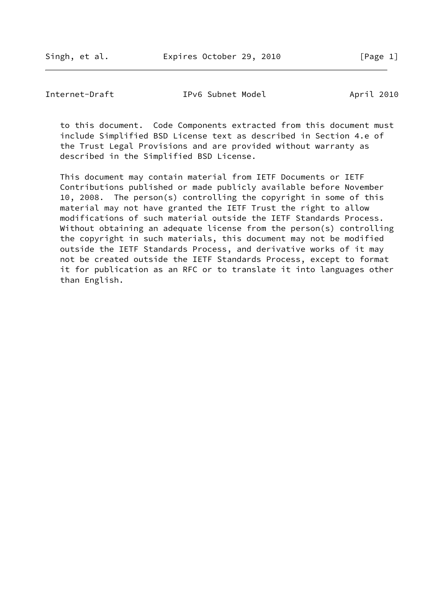Singh, et al. Expires October 29, 2010 [Page 1]

Internet-Draft TPv6 Subnet Model April 2010

 to this document. Code Components extracted from this document must include Simplified BSD License text as described in Section 4.e of the Trust Legal Provisions and are provided without warranty as described in the Simplified BSD License.

 This document may contain material from IETF Documents or IETF Contributions published or made publicly available before November 10, 2008. The person(s) controlling the copyright in some of this material may not have granted the IETF Trust the right to allow modifications of such material outside the IETF Standards Process. Without obtaining an adequate license from the person(s) controlling the copyright in such materials, this document may not be modified outside the IETF Standards Process, and derivative works of it may not be created outside the IETF Standards Process, except to format it for publication as an RFC or to translate it into languages other than English.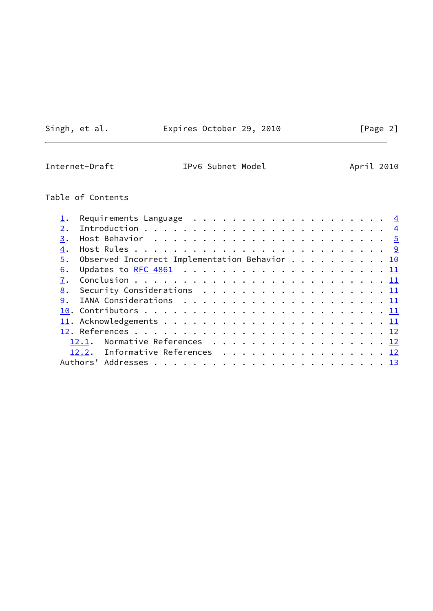Singh, et al. **Expires October 29, 2010** [Page 2]

 $\overline{\phantom{0}}$ 

Internet-Draft TPv6 Subnet Model April 2010

# Table of Contents

| 3. |                                               |  |
|----|-----------------------------------------------|--|
| 4. |                                               |  |
| 5. | Observed Incorrect Implementation Behavior 10 |  |
| 6. |                                               |  |
| 7. |                                               |  |
| 8. |                                               |  |
| 9. |                                               |  |
|    |                                               |  |
|    |                                               |  |
|    |                                               |  |
|    | Normative References 12<br>12.1.              |  |
|    | 12.2. Informative References 12               |  |
|    |                                               |  |
|    |                                               |  |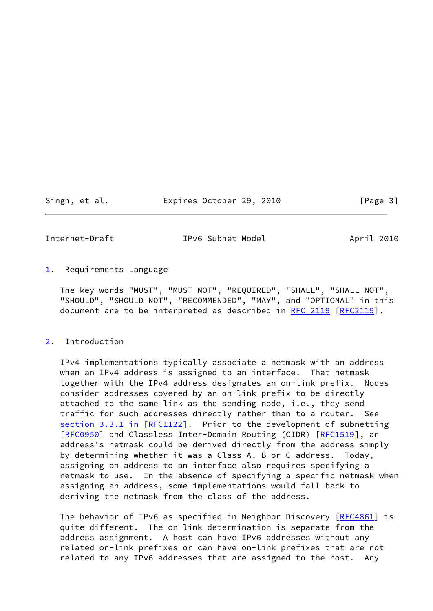Singh, et al. **Expires October 29, 2010** [Page 3]

<span id="page-3-1"></span>

Internet-Draft IPv6 Subnet Model April 2010

<span id="page-3-0"></span> $1.$  $1.$  Requirements Language

 The key words "MUST", "MUST NOT", "REQUIRED", "SHALL", "SHALL NOT", "SHOULD", "SHOULD NOT", "RECOMMENDED", "MAY", and "OPTIONAL" in this document are to be interpreted as described in [RFC 2119 \[RFC2119](https://datatracker.ietf.org/doc/pdf/rfc2119)].

<span id="page-3-2"></span>[2](#page-3-2). Introduction

 IPv4 implementations typically associate a netmask with an address when an IPv4 address is assigned to an interface. That netmask together with the IPv4 address designates an on-link prefix. Nodes consider addresses covered by an on-link prefix to be directly attached to the same link as the sending node, i.e., they send traffic for such addresses directly rather than to a router. See section [3.3.1 in \[RFC1122\]](https://datatracker.ietf.org/doc/pdf/rfc1122#section-3.3.1). Prior to the development of subnetting [\[RFC0950](https://datatracker.ietf.org/doc/pdf/rfc0950)] and Classless Inter-Domain Routing (CIDR) [\[RFC1519](https://datatracker.ietf.org/doc/pdf/rfc1519)], an address's netmask could be derived directly from the address simply by determining whether it was a Class A, B or C address. Today, assigning an address to an interface also requires specifying a netmask to use. In the absence of specifying a specific netmask when assigning an address, some implementations would fall back to deriving the netmask from the class of the address.

The behavior of IPv6 as specified in Neighbor Discovery [\[RFC4861](https://datatracker.ietf.org/doc/pdf/rfc4861)] is quite different. The on-link determination is separate from the address assignment. A host can have IPv6 addresses without any related on-link prefixes or can have on-link prefixes that are not related to any IPv6 addresses that are assigned to the host. Any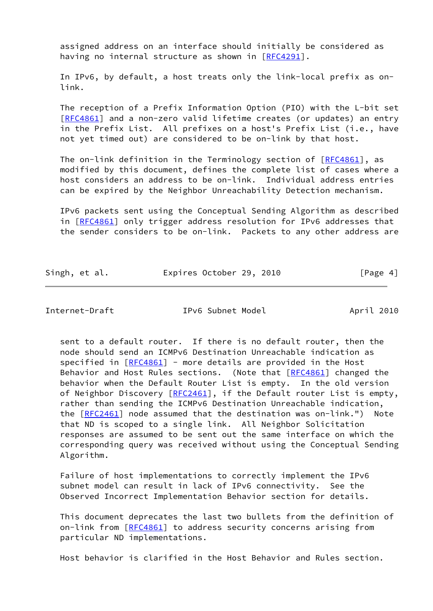assigned address on an interface should initially be considered as having no internal structure as shown in [\[RFC4291](https://datatracker.ietf.org/doc/pdf/rfc4291)].

 In IPv6, by default, a host treats only the link-local prefix as on link.

 The reception of a Prefix Information Option (PIO) with the L-bit set [\[RFC4861](https://datatracker.ietf.org/doc/pdf/rfc4861)] and a non-zero valid lifetime creates (or updates) an entry in the Prefix List. All prefixes on a host's Prefix List (i.e., have not yet timed out) are considered to be on-link by that host.

The on-link definition in the Terminology section of  $[REC4861]$ , as modified by this document, defines the complete list of cases where a host considers an address to be on-link. Individual address entries can be expired by the Neighbor Unreachability Detection mechanism.

 IPv6 packets sent using the Conceptual Sending Algorithm as described in [[RFC4861\]](https://datatracker.ietf.org/doc/pdf/rfc4861) only trigger address resolution for IPv6 addresses that the sender considers to be on-link. Packets to any other address are

| Singh, et al. |  | Expires October 29, 2010 |  | [Page 4] |  |
|---------------|--|--------------------------|--|----------|--|
|               |  |                          |  |          |  |

<span id="page-4-0"></span>Internet-Draft IPv6 Subnet Model April 2010

 sent to a default router. If there is no default router, then the node should send an ICMPv6 Destination Unreachable indication as specified in [\[RFC4861](https://datatracker.ietf.org/doc/pdf/rfc4861)] - more details are provided in the Host Behavior and Host Rules sections. (Note that [[RFC4861](https://datatracker.ietf.org/doc/pdf/rfc4861)] changed the behavior when the Default Router List is empty. In the old version of Neighbor Discovery [[RFC2461](https://datatracker.ietf.org/doc/pdf/rfc2461)], if the Default router List is empty, rather than sending the ICMPv6 Destination Unreachable indication, the [\[RFC2461](https://datatracker.ietf.org/doc/pdf/rfc2461)] node assumed that the destination was on-link.") Note that ND is scoped to a single link. All Neighbor Solicitation responses are assumed to be sent out the same interface on which the corresponding query was received without using the Conceptual Sending Algorithm.

 Failure of host implementations to correctly implement the IPv6 subnet model can result in lack of IPv6 connectivity. See the Observed Incorrect Implementation Behavior section for details.

 This document deprecates the last two bullets from the definition of on-link from [\[RFC4861](https://datatracker.ietf.org/doc/pdf/rfc4861)] to address security concerns arising from particular ND implementations.

Host behavior is clarified in the Host Behavior and Rules section.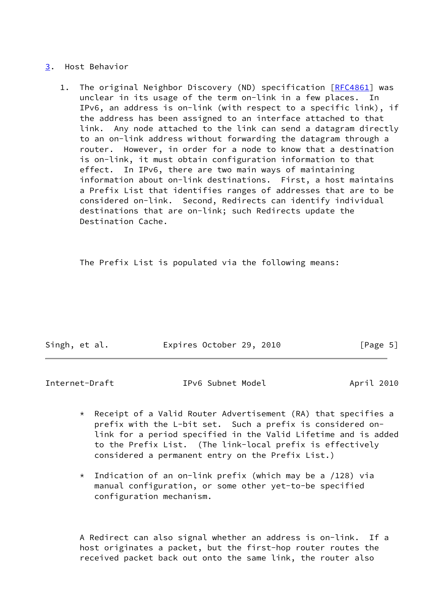#### <span id="page-5-0"></span>[3](#page-5-0). Host Behavior

1. The original Neighbor Discovery (ND) specification [\[RFC4861](https://datatracker.ietf.org/doc/pdf/rfc4861)] was unclear in its usage of the term on-link in a few places. In IPv6, an address is on-link (with respect to a specific link), if the address has been assigned to an interface attached to that link. Any node attached to the link can send a datagram directly to an on-link address without forwarding the datagram through a router. However, in order for a node to know that a destination is on-link, it must obtain configuration information to that effect. In IPv6, there are two main ways of maintaining information about on-link destinations. First, a host maintains a Prefix List that identifies ranges of addresses that are to be considered on-link. Second, Redirects can identify individual destinations that are on-link; such Redirects update the Destination Cache.

The Prefix List is populated via the following means:

| Singh, et al. | Expires October 29, 2010 |  | [Page 5] |  |
|---------------|--------------------------|--|----------|--|

Internet-Draft IPv6 Subnet Model April 2010

- \* Receipt of a Valid Router Advertisement (RA) that specifies a prefix with the L-bit set. Such a prefix is considered on link for a period specified in the Valid Lifetime and is added to the Prefix List. (The link-local prefix is effectively considered a permanent entry on the Prefix List.)
- $*$  Indication of an on-link prefix (which may be a /128) via manual configuration, or some other yet-to-be specified configuration mechanism.

 A Redirect can also signal whether an address is on-link. If a host originates a packet, but the first-hop router routes the received packet back out onto the same link, the router also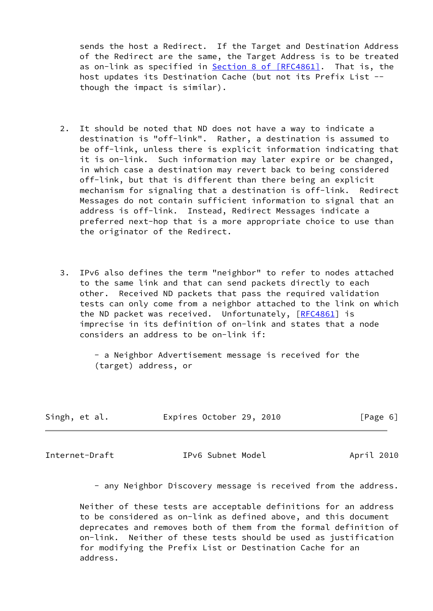sends the host a Redirect. If the Target and Destination Address of the Redirect are the same, the Target Address is to be treated as on-link as specified in Section [8 of \[RFC4861\]](https://datatracker.ietf.org/doc/pdf/rfc4861#section-8). That is, the host updates its Destination Cache (but not its Prefix List - though the impact is similar).

- 2. It should be noted that ND does not have a way to indicate a destination is "off-link". Rather, a destination is assumed to be off-link, unless there is explicit information indicating that it is on-link. Such information may later expire or be changed, in which case a destination may revert back to being considered off-link, but that is different than there being an explicit mechanism for signaling that a destination is off-link. Redirect Messages do not contain sufficient information to signal that an address is off-link. Instead, Redirect Messages indicate a preferred next-hop that is a more appropriate choice to use than the originator of the Redirect.
- 3. IPv6 also defines the term "neighbor" to refer to nodes attached to the same link and that can send packets directly to each other. Received ND packets that pass the required validation tests can only come from a neighbor attached to the link on which the ND packet was received. Unfortunately, [\[RFC4861](https://datatracker.ietf.org/doc/pdf/rfc4861)] is imprecise in its definition of on-link and states that a node considers an address to be on-link if:

 - a Neighbor Advertisement message is received for the (target) address, or

|  | Singh, et al. |  | Expires October 29, 2010 |  |  | [Page 6] |
|--|---------------|--|--------------------------|--|--|----------|
|--|---------------|--|--------------------------|--|--|----------|

Internet-Draft IPv6 Subnet Model April 2010

- any Neighbor Discovery message is received from the address.

 Neither of these tests are acceptable definitions for an address to be considered as on-link as defined above, and this document deprecates and removes both of them from the formal definition of on-link. Neither of these tests should be used as justification for modifying the Prefix List or Destination Cache for an address.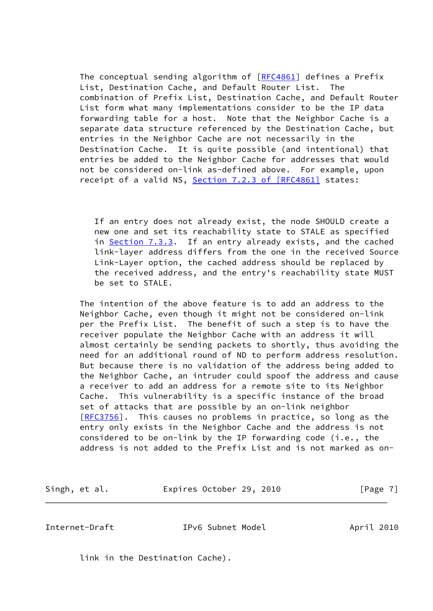The conceptual sending algorithm of [\[RFC4861](https://datatracker.ietf.org/doc/pdf/rfc4861)] defines a Prefix List, Destination Cache, and Default Router List. The combination of Prefix List, Destination Cache, and Default Router List form what many implementations consider to be the IP data forwarding table for a host. Note that the Neighbor Cache is a separate data structure referenced by the Destination Cache, but entries in the Neighbor Cache are not necessarily in the Destination Cache. It is quite possible (and intentional) that entries be added to the Neighbor Cache for addresses that would not be considered on-link as-defined above. For example, upon receipt of a valid NS, Section [7.2.3 of \[RFC4861\]](https://datatracker.ietf.org/doc/pdf/rfc4861#section-7.2.3) states:

 If an entry does not already exist, the node SHOULD create a new one and set its reachability state to STALE as specified in Section 7.3.3. If an entry already exists, and the cached link-layer address differs from the one in the received Source Link-Layer option, the cached address should be replaced by the received address, and the entry's reachability state MUST be set to STALE.

 The intention of the above feature is to add an address to the Neighbor Cache, even though it might not be considered on-link per the Prefix List. The benefit of such a step is to have the receiver populate the Neighbor Cache with an address it will almost certainly be sending packets to shortly, thus avoiding the need for an additional round of ND to perform address resolution. But because there is no validation of the address being added to the Neighbor Cache, an intruder could spoof the address and cause a receiver to add an address for a remote site to its Neighbor Cache. This vulnerability is a specific instance of the broad set of attacks that are possible by an on-link neighbor [\[RFC3756](https://datatracker.ietf.org/doc/pdf/rfc3756)]. This causes no problems in practice, so long as the entry only exists in the Neighbor Cache and the address is not considered to be on-link by the IP forwarding code (i.e., the address is not added to the Prefix List and is not marked as on-

Singh, et al. **Expires October 29, 2010** [Page 7]

Internet-Draft IPv6 Subnet Model April 2010

link in the Destination Cache).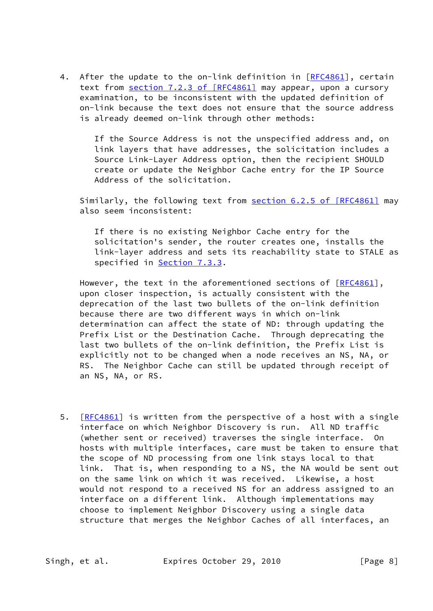4. After the update to the on-link definition in [[RFC4861](https://datatracker.ietf.org/doc/pdf/rfc4861)], certain text from section [7.2.3 of \[RFC4861\]](https://datatracker.ietf.org/doc/pdf/rfc4861#section-7.2.3) may appear, upon a cursory examination, to be inconsistent with the updated definition of on-link because the text does not ensure that the source address is already deemed on-link through other methods:

> If the Source Address is not the unspecified address and, on link layers that have addresses, the solicitation includes a Source Link-Layer Address option, then the recipient SHOULD create or update the Neighbor Cache entry for the IP Source Address of the solicitation.

Similarly, the following text from section [6.2.5 of \[RFC4861\]](https://datatracker.ietf.org/doc/pdf/rfc4861#section-6.2.5) may also seem inconsistent:

 If there is no existing Neighbor Cache entry for the solicitation's sender, the router creates one, installs the link-layer address and sets its reachability state to STALE as specified in **Section 7.3.3.** 

However, the text in the aforementioned sections of [\[RFC4861](https://datatracker.ietf.org/doc/pdf/rfc4861)], upon closer inspection, is actually consistent with the deprecation of the last two bullets of the on-link definition because there are two different ways in which on-link determination can affect the state of ND: through updating the Prefix List or the Destination Cache. Through deprecating the last two bullets of the on-link definition, the Prefix List is explicitly not to be changed when a node receives an NS, NA, or RS. The Neighbor Cache can still be updated through receipt of an NS, NA, or RS.

5. [\[RFC4861](https://datatracker.ietf.org/doc/pdf/rfc4861)] is written from the perspective of a host with a single interface on which Neighbor Discovery is run. All ND traffic (whether sent or received) traverses the single interface. On hosts with multiple interfaces, care must be taken to ensure that the scope of ND processing from one link stays local to that link. That is, when responding to a NS, the NA would be sent out on the same link on which it was received. Likewise, a host would not respond to a received NS for an address assigned to an interface on a different link. Although implementations may choose to implement Neighbor Discovery using a single data structure that merges the Neighbor Caches of all interfaces, an

Singh, et al. **Expires October 29, 2010** [Page 8]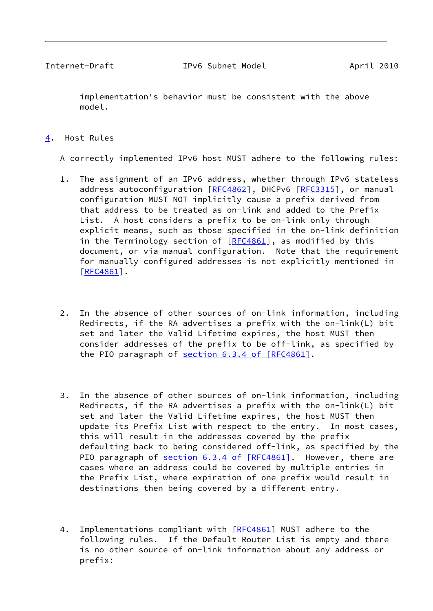<span id="page-9-1"></span> implementation's behavior must be consistent with the above model.

### <span id="page-9-0"></span>[4](#page-9-0). Host Rules

A correctly implemented IPv6 host MUST adhere to the following rules:

- 1. The assignment of an IPv6 address, whether through IPv6 stateless address autoconfiguration [[RFC4862](https://datatracker.ietf.org/doc/pdf/rfc4862)], DHCPv6 [\[RFC3315](https://datatracker.ietf.org/doc/pdf/rfc3315)], or manual configuration MUST NOT implicitly cause a prefix derived from that address to be treated as on-link and added to the Prefix List. A host considers a prefix to be on-link only through explicit means, such as those specified in the on-link definition in the Terminology section of [[RFC4861](https://datatracker.ietf.org/doc/pdf/rfc4861)], as modified by this document, or via manual configuration. Note that the requirement for manually configured addresses is not explicitly mentioned in [\[RFC4861](https://datatracker.ietf.org/doc/pdf/rfc4861)].
- 2. In the absence of other sources of on-link information, including Redirects, if the RA advertises a prefix with the on-link(L) bit set and later the Valid Lifetime expires, the host MUST then consider addresses of the prefix to be off-link, as specified by the PIO paragraph of section [6.3.4 of \[RFC4861\].](https://datatracker.ietf.org/doc/pdf/rfc4861#section-6.3.4)
- 3. In the absence of other sources of on-link information, including Redirects, if the RA advertises a prefix with the on-link(L) bit set and later the Valid Lifetime expires, the host MUST then update its Prefix List with respect to the entry. In most cases, this will result in the addresses covered by the prefix defaulting back to being considered off-link, as specified by the PIO paragraph of section [6.3.4 of \[RFC4861\].](https://datatracker.ietf.org/doc/pdf/rfc4861#section-6.3.4) However, there are cases where an address could be covered by multiple entries in the Prefix List, where expiration of one prefix would result in destinations then being covered by a different entry.
- 4. Implementations compliant with [[RFC4861\]](https://datatracker.ietf.org/doc/pdf/rfc4861) MUST adhere to the following rules. If the Default Router List is empty and there is no other source of on-link information about any address or prefix: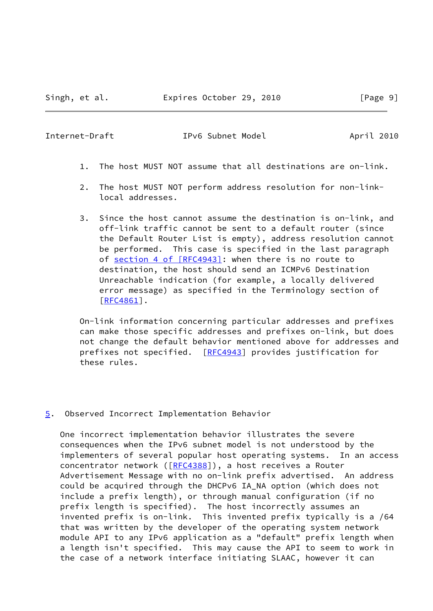<span id="page-10-1"></span>Internet-Draft IPv6 Subnet Model April 2010

- 1. The host MUST NOT assume that all destinations are on-link.
- 2. The host MUST NOT perform address resolution for non-link local addresses.
- 3. Since the host cannot assume the destination is on-link, and off-link traffic cannot be sent to a default router (since the Default Router List is empty), address resolution cannot be performed. This case is specified in the last paragraph of section [4 of \[RFC4943\]](https://datatracker.ietf.org/doc/pdf/rfc4943#section-4): when there is no route to destination, the host should send an ICMPv6 Destination Unreachable indication (for example, a locally delivered error message) as specified in the Terminology section of [\[RFC4861](https://datatracker.ietf.org/doc/pdf/rfc4861)].

 On-link information concerning particular addresses and prefixes can make those specific addresses and prefixes on-link, but does not change the default behavior mentioned above for addresses and prefixes not specified. [\[RFC4943](https://datatracker.ietf.org/doc/pdf/rfc4943)] provides justification for these rules.

#### <span id="page-10-0"></span>[5](#page-10-0). Observed Incorrect Implementation Behavior

 One incorrect implementation behavior illustrates the severe consequences when the IPv6 subnet model is not understood by the implementers of several popular host operating systems. In an access concentrator network ([[RFC4388](https://datatracker.ietf.org/doc/pdf/rfc4388)]), a host receives a Router Advertisement Message with no on-link prefix advertised. An address could be acquired through the DHCPv6 IA\_NA option (which does not include a prefix length), or through manual configuration (if no prefix length is specified). The host incorrectly assumes an invented prefix is on-link. This invented prefix typically is a /64 that was written by the developer of the operating system network module API to any IPv6 application as a "default" prefix length when a length isn't specified. This may cause the API to seem to work in the case of a network interface initiating SLAAC, however it can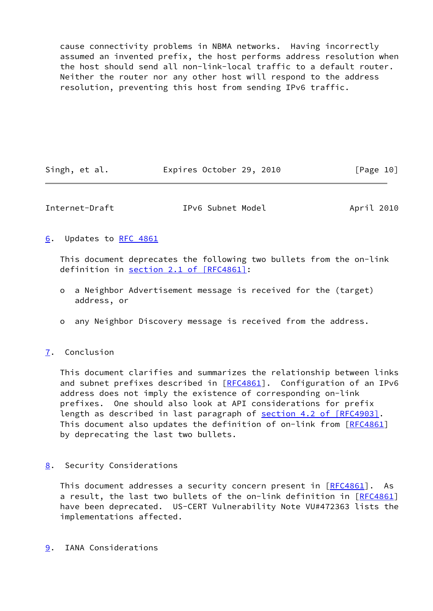cause connectivity problems in NBMA networks. Having incorrectly assumed an invented prefix, the host performs address resolution when the host should send all non-link-local traffic to a default router. Neither the router nor any other host will respond to the address resolution, preventing this host from sending IPv6 traffic.

| Singh, et al. | Expires October 29, 2010 |  | [Page 10] |
|---------------|--------------------------|--|-----------|
|---------------|--------------------------|--|-----------|

<span id="page-11-1"></span>Internet-Draft IPv6 Subnet Model April 2010

### <span id="page-11-0"></span>[6](#page-11-0). Updates to [RFC 4861](https://datatracker.ietf.org/doc/pdf/rfc4861)

 This document deprecates the following two bullets from the on-link definition in section [2.1 of \[RFC4861\]](https://datatracker.ietf.org/doc/pdf/rfc4861#section-2.1):

- o a Neighbor Advertisement message is received for the (target) address, or
- o any Neighbor Discovery message is received from the address.

## <span id="page-11-2"></span>[7](#page-11-2). Conclusion

 This document clarifies and summarizes the relationship between links and subnet prefixes described in [\[RFC4861](https://datatracker.ietf.org/doc/pdf/rfc4861)]. Configuration of an IPv6 address does not imply the existence of corresponding on-link prefixes. One should also look at API considerations for prefix length as described in last paragraph of section [4.2 of \[RFC4903\]](https://datatracker.ietf.org/doc/pdf/rfc4903#section-4.2). This document also updates the definition of on-link from [[RFC4861](https://datatracker.ietf.org/doc/pdf/rfc4861)] by deprecating the last two bullets.

## <span id="page-11-3"></span>[8](#page-11-3). Security Considerations

This document addresses a security concern present in [[RFC4861](https://datatracker.ietf.org/doc/pdf/rfc4861)]. As a result, the last two bullets of the on-link definition in [\[RFC4861](https://datatracker.ietf.org/doc/pdf/rfc4861)] have been deprecated. US-CERT Vulnerability Note VU#472363 lists the implementations affected.

<span id="page-11-4"></span>[9](#page-11-4). IANA Considerations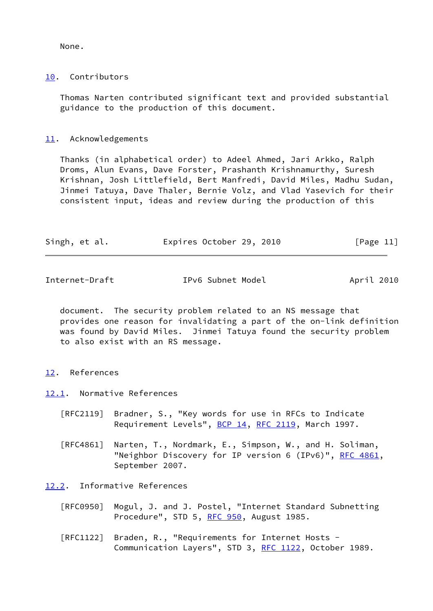None.

#### <span id="page-12-0"></span>[10.](#page-12-0) Contributors

 Thomas Narten contributed significant text and provided substantial guidance to the production of this document.

### <span id="page-12-1"></span>[11.](#page-12-1) Acknowledgements

 Thanks (in alphabetical order) to Adeel Ahmed, Jari Arkko, Ralph Droms, Alun Evans, Dave Forster, Prashanth Krishnamurthy, Suresh Krishnan, Josh Littlefield, Bert Manfredi, David Miles, Madhu Sudan, Jinmei Tatuya, Dave Thaler, Bernie Volz, and Vlad Yasevich for their consistent input, ideas and review during the production of this

|  | Singh, et al. | Expires October 29, 2010 |  |  |  | [Page 11] |
|--|---------------|--------------------------|--|--|--|-----------|
|--|---------------|--------------------------|--|--|--|-----------|

<span id="page-12-3"></span>Internet-Draft IPv6 Subnet Model April 2010

 document. The security problem related to an NS message that provides one reason for invalidating a part of the on-link definition was found by David Miles. Jinmei Tatuya found the security problem to also exist with an RS message.

#### <span id="page-12-2"></span>[12.](#page-12-2) References

<span id="page-12-4"></span>[12.1](#page-12-4). Normative References

- [RFC2119] Bradner, S., "Key words for use in RFCs to Indicate Requirement Levels", [BCP 14](https://datatracker.ietf.org/doc/pdf/bcp14), [RFC 2119](https://datatracker.ietf.org/doc/pdf/rfc2119), March 1997.
- [RFC4861] Narten, T., Nordmark, E., Simpson, W., and H. Soliman, "Neighbor Discovery for IP version 6 (IPv6)", [RFC 4861](https://datatracker.ietf.org/doc/pdf/rfc4861), September 2007.

<span id="page-12-5"></span>[12.2](#page-12-5). Informative References

- [RFC0950] Mogul, J. and J. Postel, "Internet Standard Subnetting Procedure", STD 5, [RFC 950](https://datatracker.ietf.org/doc/pdf/rfc950), August 1985.
- [RFC1122] Braden, R., "Requirements for Internet Hosts Communication Layers", STD 3, [RFC 1122](https://datatracker.ietf.org/doc/pdf/rfc1122), October 1989.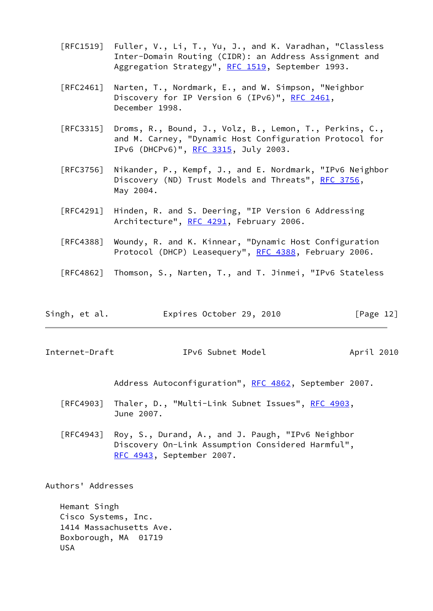- [RFC1519] Fuller, V., Li, T., Yu, J., and K. Varadhan, "Classless Inter-Domain Routing (CIDR): an Address Assignment and Aggregation Strategy", [RFC 1519](https://datatracker.ietf.org/doc/pdf/rfc1519), September 1993.
- [RFC2461] Narten, T., Nordmark, E., and W. Simpson, "Neighbor Discovery for IP Version 6 (IPv6)", [RFC 2461,](https://datatracker.ietf.org/doc/pdf/rfc2461) December 1998.
- [RFC3315] Droms, R., Bound, J., Volz, B., Lemon, T., Perkins, C., and M. Carney, "Dynamic Host Configuration Protocol for IPv6 (DHCPv6)", [RFC 3315,](https://datatracker.ietf.org/doc/pdf/rfc3315) July 2003.
- [RFC3756] Nikander, P., Kempf, J., and E. Nordmark, "IPv6 Neighbor Discovery (ND) Trust Models and Threats", [RFC 3756](https://datatracker.ietf.org/doc/pdf/rfc3756), May 2004.
- [RFC4291] Hinden, R. and S. Deering, "IP Version 6 Addressing Architecture", [RFC 4291](https://datatracker.ietf.org/doc/pdf/rfc4291), February 2006.
- [RFC4388] Woundy, R. and K. Kinnear, "Dynamic Host Configuration Protocol (DHCP) Leasequery", [RFC 4388](https://datatracker.ietf.org/doc/pdf/rfc4388), February 2006.
- [RFC4862] Thomson, S., Narten, T., and T. Jinmei, "IPv6 Stateless

| Singh, et al. | Expires October 29, 2010 |  | [Page 12] |
|---------------|--------------------------|--|-----------|
|---------------|--------------------------|--|-----------|

<span id="page-13-0"></span>Internet-Draft IPv6 Subnet Model April 2010

Address Autoconfiguration", [RFC 4862,](https://datatracker.ietf.org/doc/pdf/rfc4862) September 2007.

- [RFC4903] Thaler, D., "Multi-Link Subnet Issues", [RFC 4903,](https://datatracker.ietf.org/doc/pdf/rfc4903) June 2007.
- [RFC4943] Roy, S., Durand, A., and J. Paugh, "IPv6 Neighbor Discovery On-Link Assumption Considered Harmful", [RFC 4943,](https://datatracker.ietf.org/doc/pdf/rfc4943) September 2007.

Authors' Addresses

 Hemant Singh Cisco Systems, Inc. 1414 Massachusetts Ave. Boxborough, MA 01719 USA